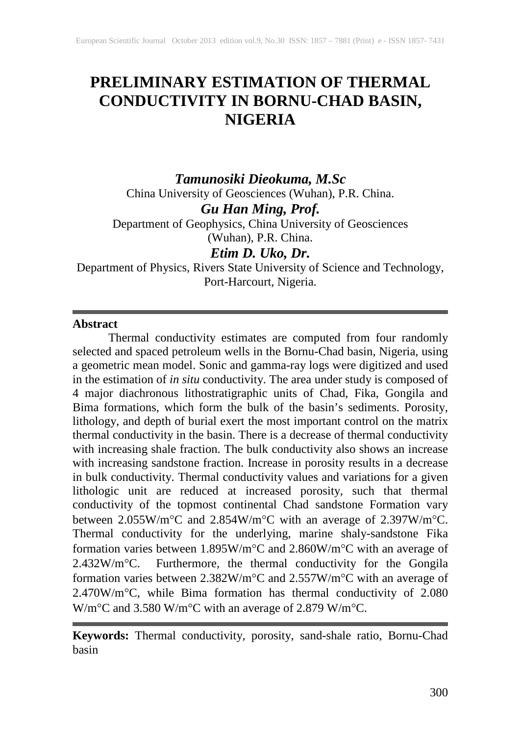# **PRELIMINARY ESTIMATION OF THERMAL CONDUCTIVITY IN BORNU-CHAD BASIN, NIGERIA**

*Tamunosiki Dieokuma, M.Sc* China University of Geosciences (Wuhan), P.R. China. *Gu Han Ming, Prof.*

Department of Geophysics, China University of Geosciences (Wuhan), P.R. China.

*Etim D. Uko, Dr.*

Department of Physics, Rivers State University of Science and Technology, Port-Harcourt, Nigeria.

### **Abstract**

Thermal conductivity estimates are computed from four randomly selected and spaced petroleum wells in the Bornu-Chad basin, Nigeria, using a geometric mean model. Sonic and gamma-ray logs were digitized and used in the estimation of *in situ* conductivity. The area under study is composed of 4 major diachronous lithostratigraphic units of Chad, Fika, Gongila and Bima formations, which form the bulk of the basin's sediments. Porosity, lithology, and depth of burial exert the most important control on the matrix thermal conductivity in the basin. There is a decrease of thermal conductivity with increasing shale fraction. The bulk conductivity also shows an increase with increasing sandstone fraction. Increase in porosity results in a decrease in bulk conductivity. Thermal conductivity values and variations for a given lithologic unit are reduced at increased porosity, such that thermal conductivity of the topmost continental Chad sandstone Formation vary between 2.055W/m°C and 2.854W/m°C with an average of 2.397W/m°C. Thermal conductivity for the underlying, marine shaly-sandstone Fika formation varies between 1.895W/m°C and 2.860W/m°C with an average of 2.432W/m°C. Furthermore, the thermal conductivity for the Gongila formation varies between 2.382W/m°C and 2.557W/m°C with an average of 2.470W/m°C, while Bima formation has thermal conductivity of 2.080 W/m°C and 3.580 W/m°C with an average of 2.879 W/m°C.

**Keywords:** Thermal conductivity, porosity, sand-shale ratio, Bornu-Chad basin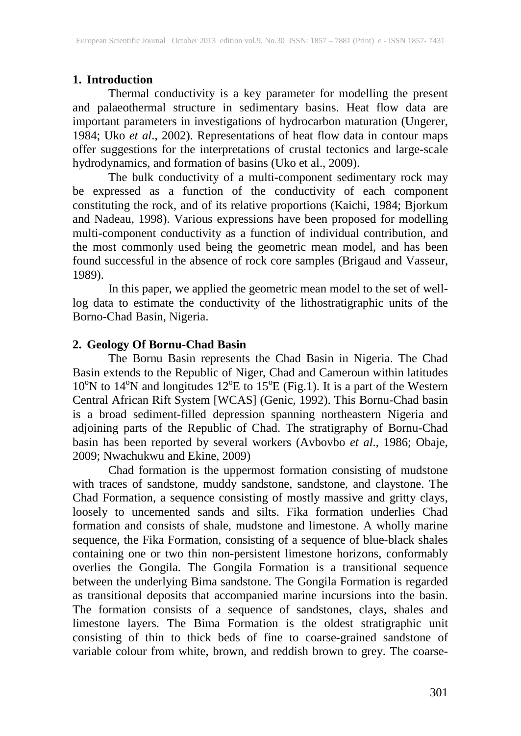# **1. Introduction**

Thermal conductivity is a key parameter for modelling the present and palaeothermal structure in sedimentary basins. Heat flow data are important parameters in investigations of hydrocarbon maturation (Ungerer, 1984; Uko *et al*., 2002). Representations of heat flow data in contour maps offer suggestions for the interpretations of crustal tectonics and large-scale hydrodynamics, and formation of basins (Uko et al., 2009).

The bulk conductivity of a multi-component sedimentary rock may be expressed as a function of the conductivity of each component constituting the rock, and of its relative proportions (Kaichi, 1984; Bjorkum and Nadeau, 1998). Various expressions have been proposed for modelling multi-component conductivity as a function of individual contribution, and the most commonly used being the geometric mean model, and has been found successful in the absence of rock core samples (Brigaud and Vasseur, 1989).

In this paper, we applied the geometric mean model to the set of welllog data to estimate the conductivity of the lithostratigraphic units of the Borno-Chad Basin, Nigeria.

#### **2. Geology Of Bornu-Chad Basin**

The Bornu Basin represents the Chad Basin in Nigeria. The Chad Basin extends to the Republic of Niger, Chad and Cameroun within latitudes  $10^{\circ}$ N to  $14^{\circ}$ N and longitudes  $12^{\circ}$ E to  $15^{\circ}$ E (Fig.1). It is a part of the Western Central African Rift System [WCAS] (Genic, 1992). This Bornu-Chad basin is a broad sediment-filled depression spanning northeastern Nigeria and adjoining parts of the Republic of Chad. The stratigraphy of Bornu-Chad basin has been reported by several workers (Avbovbo *et al*., 1986; Obaje, 2009; Nwachukwu and Ekine, 2009)

Chad formation is the uppermost formation consisting of mudstone with traces of sandstone, muddy sandstone, sandstone, and claystone. The Chad Formation, a sequence consisting of mostly massive and gritty clays, loosely to uncemented sands and silts. Fika formation underlies Chad formation and consists of shale, mudstone and limestone. A wholly marine sequence, the Fika Formation, consisting of a sequence of blue-black shales containing one or two thin non-persistent limestone horizons, conformably overlies the Gongila. The Gongila Formation is a transitional sequence between the underlying Bima sandstone. The Gongila Formation is regarded as transitional deposits that accompanied marine incursions into the basin. The formation consists of a sequence of sandstones, clays, shales and limestone layers. The Bima Formation is the oldest stratigraphic unit consisting of thin to thick beds of fine to coarse-grained sandstone of variable colour from white, brown, and reddish brown to grey. The coarse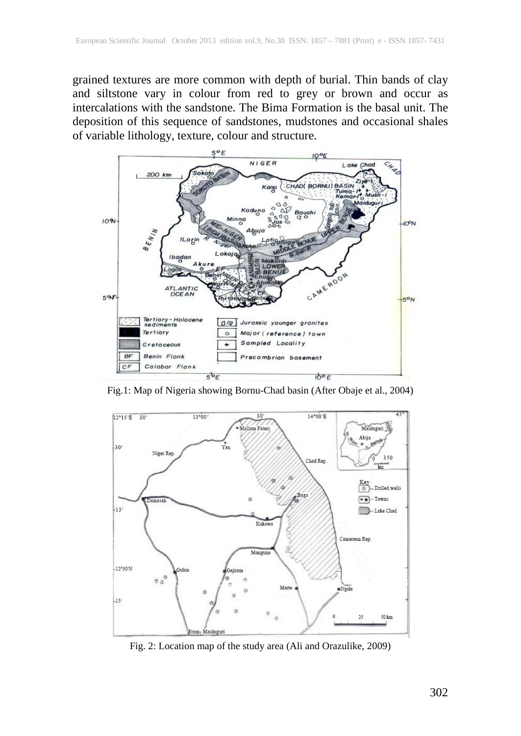grained textures are more common with depth of burial. Thin bands of clay and siltstone vary in colour from red to grey or brown and occur as intercalations with the sandstone. The Bima Formation is the basal unit. The deposition of this sequence of sandstones, mudstones and occasional shales of variable lithology, texture, colour and structure.



Fig.1: Map of Nigeria showing Bornu-Chad basin (After Obaje et al., 2004)



Fig. 2: Location map of the study area (Ali and Orazulike, 2009)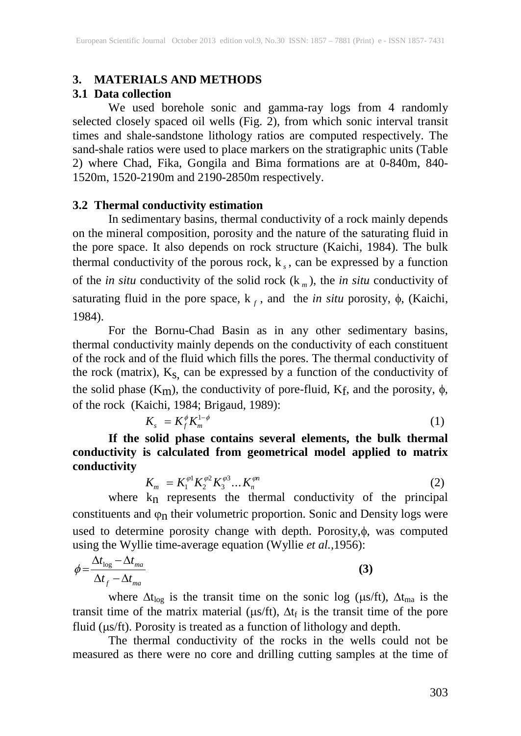#### **3. MATERIALS AND METHODS**

# **3.1 Data collection**

We used borehole sonic and gamma-ray logs from 4 randomly selected closely spaced oil wells (Fig. 2), from which sonic interval transit times and shale-sandstone lithology ratios are computed respectively. The sand-shale ratios were used to place markers on the stratigraphic units (Table 2) where Chad, Fika, Gongila and Bima formations are at 0-840m, 840- 1520m, 1520-2190m and 2190-2850m respectively.

#### **3.2 Thermal conductivity estimation**

In sedimentary basins, thermal conductivity of a rock mainly depends on the mineral composition, porosity and the nature of the saturating fluid in the pore space. It also depends on rock structure (Kaichi, 1984). The bulk thermal conductivity of the porous rock,  $k<sub>s</sub>$ , can be expressed by a function of the *in situ* conductivity of the solid rock  $(k_m)$ , the *in situ* conductivity of saturating fluid in the pore space,  $k_f$ , and the *in situ* porosity,  $\phi$ , (Kaichi, 1984).

For the Bornu-Chad Basin as in any other sedimentary basins, thermal conductivity mainly depends on the conductivity of each constituent of the rock and of the fluid which fills the pores. The thermal conductivity of the rock (matrix),  $K_S$ , can be expressed by a function of the conductivity of the solid phase (K<sub>m</sub>), the conductivity of pore-fluid, K<sub>f</sub>, and the porosity,  $\phi$ , of the rock (Kaichi, 1984; Brigaud, 1989):

$$
K_s = K_f^{\phi} K_m^{1-\phi} \tag{1}
$$

**If the solid phase contains several elements, the bulk thermal conductivity is calculated from geometrical model applied to matrix conductivity**

$$
K_m = K_1^{\varphi 1} K_2^{\varphi 2} K_3^{\varphi 3} \dots K_n^{\varphi n} \tag{2}
$$

where  $k_n$  represents the thermal conductivity of the principal constituents and  $\varphi_n$  their volumetric proportion. Sonic and Density logs were used to determine porosity change with depth. Porosity,φ, was computed using the Wyllie time-average equation (Wyllie *et al.,*1956):

$$
\phi = \frac{\Delta t_{\text{log}} - \Delta t_{\text{ma}}}{\Delta t_f - \Delta t_{\text{ma}}}
$$
\n(3)

where  $\Delta t_{\text{log}}$  is the transit time on the sonic log (µs/ft),  $\Delta t_{\text{mag}}$  is the transit time of the matrix material ( $\mu$ s/ft),  $\Delta t_f$  is the transit time of the pore fluid ( $\mu$ s/ft). Porosity is treated as a function of lithology and depth.

The thermal conductivity of the rocks in the wells could not be measured as there were no core and drilling cutting samples at the time of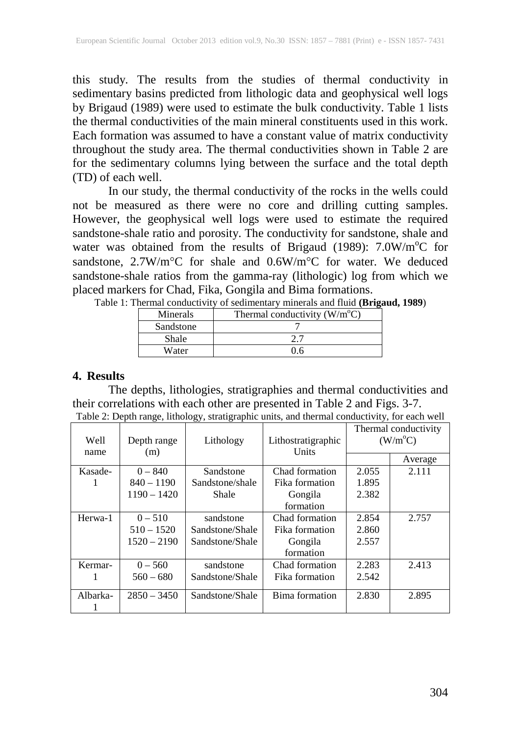this study. The results from the studies of thermal conductivity in sedimentary basins predicted from lithologic data and geophysical well logs by Brigaud (1989) were used to estimate the bulk conductivity. Table 1 lists the thermal conductivities of the main mineral constituents used in this work. Each formation was assumed to have a constant value of matrix conductivity throughout the study area. The thermal conductivities shown in Table 2 are for the sedimentary columns lying between the surface and the total depth (TD) of each well.

In our study, the thermal conductivity of the rocks in the wells could not be measured as there were no core and drilling cutting samples. However, the geophysical well logs were used to estimate the required sandstone-shale ratio and porosity. The conductivity for sandstone, shale and water was obtained from the results of Brigaud (1989): 7.0W/m°C for sandstone, 2.7W/m°C for shale and 0.6W/m°C for water. We deduced sandstone-shale ratios from the gamma-ray (lithologic) log from which we placed markers for Chad, Fika, Gongila and Bima formations.<br>Table 1: Thermal conductivity of sedimentary minerals and fluid (Bri

|                 | 1: Thermal conductivity of sedimentary minerals and fluid ( <b>Brigaud, 1989</b> ) |  |
|-----------------|------------------------------------------------------------------------------------|--|
| <b>Minerals</b> | Thermal conductivity $(W/m^{\circ}C)$                                              |  |
|                 |                                                                                    |  |

| Minerais  | I nermal conductivity $(w/m)$ |
|-----------|-------------------------------|
| Sandstone |                               |
| Shale     |                               |
| Water     | በ 6                           |

#### **4. Results**

The depths, lithologies, stratigraphies and thermal conductivities and their correlations with each other are presented in Table 2 and Figs. 3-7. Table 2: Depth range, lithology, stratigraphic units, and thermal conductivity, for each well

| Well     | Depth range   | Lithology       | Lithostratigraphic | Thermal conductivity<br>$(W/m^{\circ}C)$ |         |
|----------|---------------|-----------------|--------------------|------------------------------------------|---------|
| name     | (m)           |                 | Units              |                                          | Average |
| Kasade-  | $0 - 840$     | Sandstone       | Chad formation     | 2.055                                    | 2.111   |
|          | $840 - 1190$  | Sandstone/shale | Fika formation     | 1.895                                    |         |
|          | $1190 - 1420$ | Shale           | Gongila            | 2.382                                    |         |
|          |               |                 | formation          |                                          |         |
| Herwa-1  | $0 - 510$     | sandstone       | Chad formation     | 2.854                                    | 2.757   |
|          | $510 - 1520$  | Sandstone/Shale | Fika formation     | 2.860                                    |         |
|          | $1520 - 2190$ | Sandstone/Shale | Gongila            | 2.557                                    |         |
|          |               |                 | formation          |                                          |         |
| Kermar-  | $0 - 560$     | sandstone       | Chad formation     | 2.283                                    | 2.413   |
|          | $560 - 680$   | Sandstone/Shale | Fika formation     | 2.542                                    |         |
| Albarka- | $2850 - 3450$ | Sandstone/Shale | Bima formation     | 2.830                                    | 2.895   |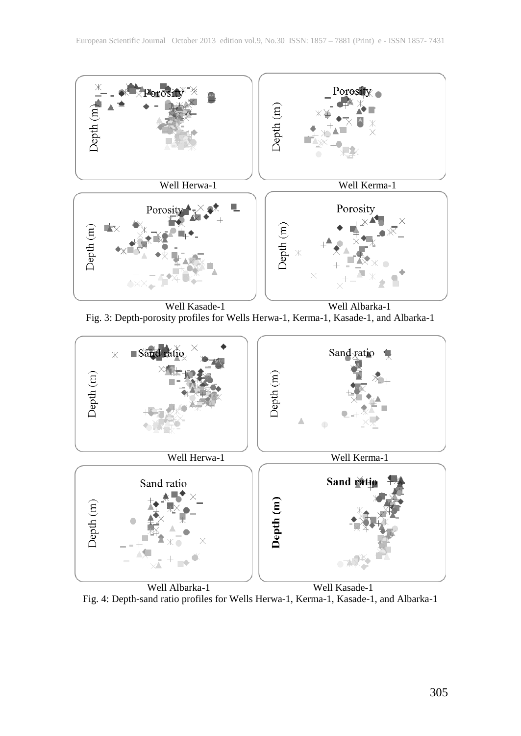





 Well Albarka-1 Well Kasade-1 Fig. 4: Depth-sand ratio profiles for Wells Herwa-1, Kerma-1, Kasade-1, and Albarka-1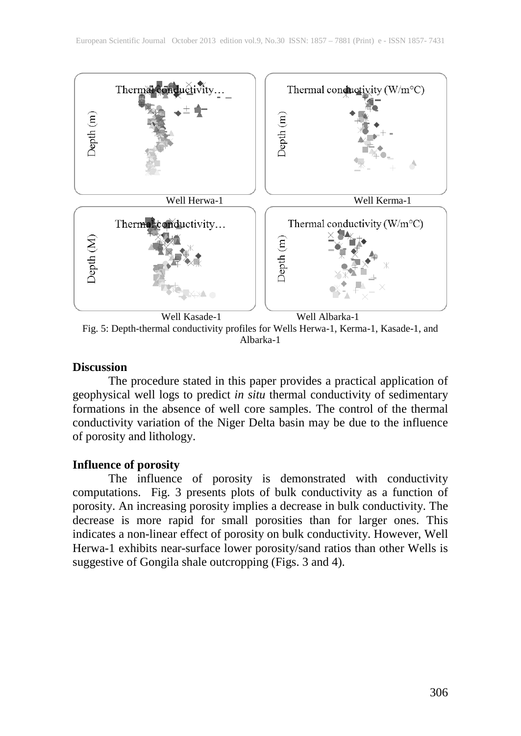

Albarka-1

# **Discussion**

The procedure stated in this paper provides a practical application of geophysical well logs to predict *in situ* thermal conductivity of sedimentary formations in the absence of well core samples. The control of the thermal conductivity variation of the Niger Delta basin may be due to the influence of porosity and lithology.

# **Influence of porosity**

The influence of porosity is demonstrated with conductivity computations. Fig. 3 presents plots of bulk conductivity as a function of porosity. An increasing porosity implies a decrease in bulk conductivity. The decrease is more rapid for small porosities than for larger ones. This indicates a non-linear effect of porosity on bulk conductivity. However, Well Herwa-1 exhibits near-surface lower porosity/sand ratios than other Wells is suggestive of Gongila shale outcropping (Figs. 3 and 4).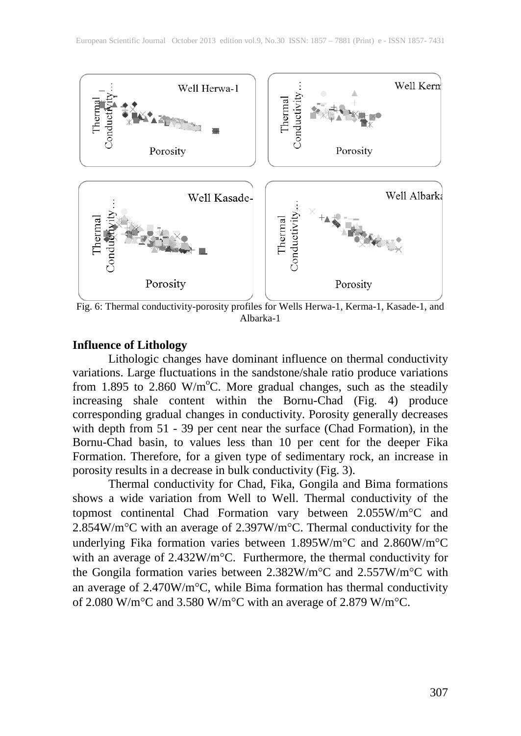

 Fig. 6: Thermal conductivity-porosity profiles for Wells Herwa-1, Kerma-1, Kasade-1, and Albarka-1

#### **Influence of Lithology**

Lithologic changes have dominant influence on thermal conductivity variations. Large fluctuations in the sandstone/shale ratio produce variations from 1.895 to  $2.860 \text{ W/m}^{\circ}\text{C}$ . More gradual changes, such as the steadily increasing shale content within the Bornu-Chad (Fig. 4) produce corresponding gradual changes in conductivity. Porosity generally decreases with depth from 51 - 39 per cent near the surface (Chad Formation), in the Bornu-Chad basin, to values less than 10 per cent for the deeper Fika Formation. Therefore, for a given type of sedimentary rock, an increase in porosity results in a decrease in bulk conductivity (Fig. 3).

Thermal conductivity for Chad, Fika, Gongila and Bima formations shows a wide variation from Well to Well. Thermal conductivity of the topmost continental Chad Formation vary between 2.055W/m°C and 2.854W/m°C with an average of 2.397W/m°C. Thermal conductivity for the underlying Fika formation varies between 1.895W/m°C and 2.860W/m°C with an average of 2.432W/m°C. Furthermore, the thermal conductivity for the Gongila formation varies between 2.382W/m°C and 2.557W/m°C with an average of 2.470W/m°C, while Bima formation has thermal conductivity of 2.080 W/m°C and 3.580 W/m°C with an average of 2.879 W/m°C.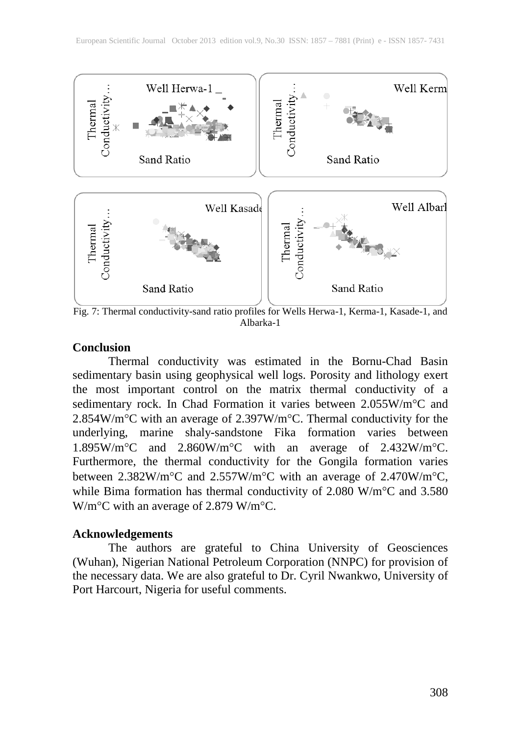

 Fig. 7: Thermal conductivity-sand ratio profiles for Wells Herwa-1, Kerma-1, Kasade-1, and Albarka-1

#### **Conclusion**

Thermal conductivity was estimated in the Bornu-Chad Basin sedimentary basin using geophysical well logs. Porosity and lithology exert the most important control on the matrix thermal conductivity of a sedimentary rock. In Chad Formation it varies between 2.055W/m°C and 2.854W/m°C with an average of 2.397W/m°C. Thermal conductivity for the underlying, marine shaly-sandstone Fika formation varies between 1.895W/m°C and 2.860W/m°C with an average of 2.432W/m°C. Furthermore, the thermal conductivity for the Gongila formation varies between 2.382W/m°C and 2.557W/m°C with an average of 2.470W/m°C, while Bima formation has thermal conductivity of 2.080 W/m°C and 3.580 W/m°C with an average of 2.879 W/m°C.

#### **Acknowledgements**

The authors are grateful to China University of Geosciences (Wuhan), Nigerian National Petroleum Corporation (NNPC) for provision of the necessary data. We are also grateful to Dr. Cyril Nwankwo, University of Port Harcourt, Nigeria for useful comments.